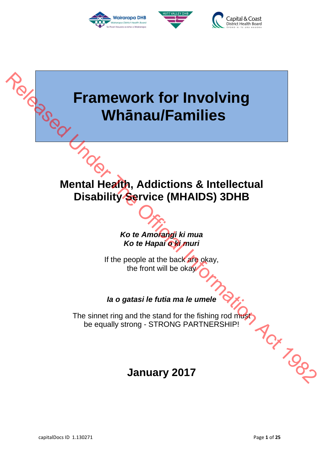





# **Framework for Involving Whānau/Families**  Release United

## **Mental Health, Addictions & Intellectual Disability Service (MHAIDS) 3DHB**

## **Ko te Amorangi ki mua Ko te Hapai o ki muri**

If the people at the back are okay, the front will be okay

## **Ia o gatasi le futia ma le umele**

The sinnet ring and the stand for the fishing rod must<br>be equally strong - STRONG PARTNERSHIP! be equally strong - STRONG PARTNERSHIP!

## **January 2017**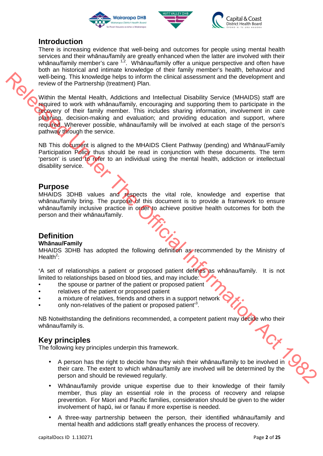





#### **Introduction**

There is increasing evidence that well-being and outcomes for people using mental health services and their whānau/family are greatly enhanced when the latter are involved with their whānau/family member's care  $1.2$ . Whanau/family offer a unique perspective and often have both an historical and intimate knowledge of their family member's health, behaviour and well-being. This knowledge helps to inform the clinical assessment and the development and review of the Partnership (treatment) Plan.

Within the Mental Health, Addictions and Intellectual Disability Service (MHAIDS) staff are required to work with whānau/family, encouraging and supporting them to participate in the recovery of their family member. This includes sharing information, involvement in care planning, decision-making and evaluation; and providing education and support, where required. Wherever possible, whānau/family will be involved at each stage of the person's pathway through the service. wish the Montenburgh contribute the plane of the material information of the material Information  $\theta$  of  $\theta$  of  $\theta$  of  $\theta$  of  $\theta$  of  $\theta$  of  $\theta$  of  $\theta$  of  $\theta$  of  $\theta$  of  $\theta$  of  $\theta$  of  $\theta$  of  $\theta$  of  $\theta$  of  $\theta$ 

NB This document is aligned to the MHAIDS Client Pathway (pending) and Whānau/Family Participation Policy thus should be read in conjunction with these documents. The term 'person' is used to refer to an individual using the mental health, addiction or intellectual disability service.

#### **Purpose**

MHAIDS 3DHB values and respects the vital role, knowledge and expertise that whānau/family bring. The purpose of this document is to provide a framework to ensure whānau/family inclusive practice in order to achieve positive health outcomes for both the person and their whānau/family.

#### **Definition**

#### **Whānau/Family**

MHAIDS 3DHB has adopted the following definition as recommended by the Ministry of Health<sup>2</sup>:

**'**A set of relationships a patient or proposed patient defines as whānau/family. It is not limited to relationships based on blood ties, and may include:

- the spouse or partner of the patient or proposed patient
- relatives of the patient or proposed patient
- a mixture of relatives, friends and others in a support network
- only non-relatives of the patient or proposed patient<sup>3</sup>.

NB Notwithstanding the definitions recommended, a competent patient may decide who their whānau/family is.

#### **Key principles**

The following key principles underpin this framework.

- A person has the right to decide how they wish their whānau/family to be involved in their care. The extent to which whānau/family are involved will be determined by the person and should be reviewed regularly.
- Whānau/family provide unique expertise due to their knowledge of their family member, thus play an essential role in the process of recovery and relapse prevention. For Māori and Pacific families, consideration should be given to the wider involvement of hapū, iwi or fanau if more expertise is needed.
- A three-way partnership between the person, their identified whānau/family and mental health and addictions staff greatly enhances the process of recovery.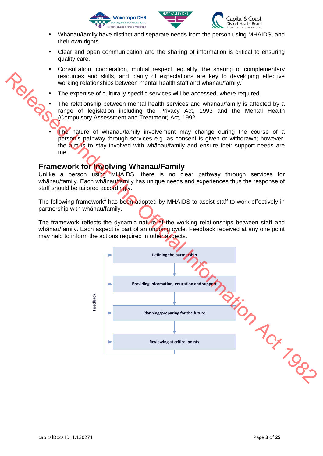



- Whānau/family have distinct and separate needs from the person using MHAIDS, and their own rights.
- Clear and open communication and the sharing of information is critical to ensuring quality care.
- Consultation, cooperation, mutual respect, equality, the sharing of complementary resources and skills, and clarity of expectations are key to developing effective working relationships between mental health staff and whānau/family.<sup>3</sup>
- The expertise of culturally specific services will be accessed, where required.
- The relationship between mental health services and whānau/family is affected by a range of legislation including the Privacy Act, 1993 and the Mental Health (Compulsory Assessment and Treatment) Act, 1992.
- The nature of whanau/family involvement may change during the course of a person's pathway through services e.g. as consent is given or withdrawn; however, the aim is to stay involved with whanau/family and ensure their support needs are met.

#### **Framework for Involving Whānau/Family**

Unlike a person using MHAIDS, there is no clear pathway through services for whānau/family. Each whānau/family has unique needs and experiences thus the response of staff should be tailored accordingly.

The following framework<sup>3</sup> has been adopted by MHAIDS to assist staff to work effectively in partnership with whānau/family.

The framework reflects the dynamic nature of the working relationships between staff and whānau/family. Each aspect is part of an ongoing cycle. Feedback received at any one point may help to inform the actions required in other aspects.

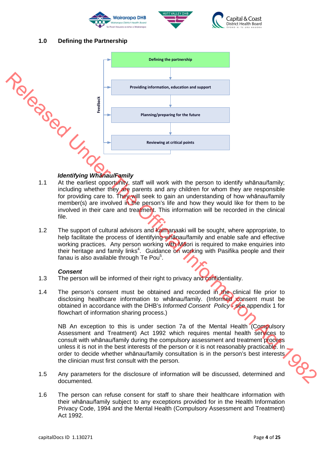





#### **1.0 Defining the Partnership**



- 1.1 At the earliest opportunity, staff will work with the person to identify whānau/family; including whether they are parents and any children for whom they are responsible for providing care to. They will seek to gain an understanding of how whānau/family member(s) are involved in the person's life and how they would like for them to be involved in their care and treatment. This information will be recorded in the clinical file.
- 1.2 The support of cultural advisors and kaimanaaki will be sought, where appropriate, to help facilitate the process of identifying whanau/family and enable safe and effective working practices. Any person working with Maori is required to make enquiries into their heritage and family links<sup>4</sup>. Guidance on working with Pasifika people and their fanau is also available through Te Pou<sup>5</sup>.

#### **Consent**

- 1.3 The person will be informed of their right to privacy and confidentiality.
- 1.4 The person's consent must be obtained and recorded in the clinical file prior to disclosing healthcare information to whānau/family. (Informed consent must be obtained in accordance with the DHB's Informed Consent Policy - see appendix 1 for flowchart of information sharing process.)

NB An exception to this is under section 7a of the Mental Health (Compulsory Assessment and Treatment) Act 1992 which requires mental health services to consult with whānau/family during the compulsory assessment and treatment process unless it is not in the best interests of the person or it is not reasonably practicable. In order to decide whether whānau/family consultation is in the person's best interests the clinician must first consult with the person.

- 1.5 Any parameters for the disclosure of information will be discussed, determined and documented.
- 1.6 The person can refuse consent for staff to share their healthcare information with their whānau/family subject to any exceptions provided for in the Health Information Privacy Code, 1994 and the Mental Health (Compulsory Assessment and Treatment) Act 1992.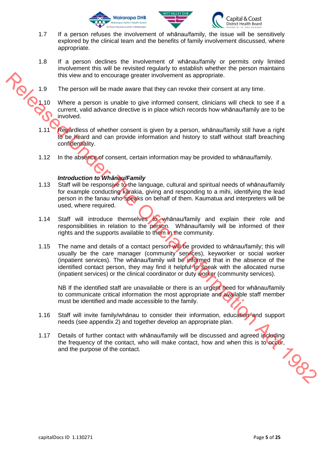



- 1.7 If a person refuses the involvement of whānau/family, the issue will be sensitively explored by the clinical team and the benefits of family involvement discussed, where appropriate.
- 1.8 If a person declines the involvement of whānau/family or permits only limited involvement this will be revisited regularly to establish whether the person maintains this view and to encourage greater involvement as appropriate.
- 1.9 The person will be made aware that they can revoke their consent at any time.
- 1.10 Where a person is unable to give informed consent, clinicians will check to see if a current, valid advance directive is in place which records how whānau/family are to be involved.
	- 1.11 Regardless of whether consent is given by a person, whānau/family still have a right to be heard and can provide information and history to staff without staff breaching confidentiality.
	- 1.12 In the absence of consent, certain information may be provided to whānau/family.

#### **Introduction to Wh***ā***nau/Family**

- 1.13 Staff will be responsive to the language, cultural and spiritual needs of whānau/family for example conducting karakia, giving and responding to a mihi, identifying the lead person in the fanau who speaks on behalf of them. Kaumatua and interpreters will be used, where required.
- 1.14 Staff will introduce themselves to whanau/family and explain their role and responsibilities in relation to the person. Whānau/family will be informed of their rights and the supports available to them in the community.
- 1.15 The name and details of a contact person will be provided to whānau/family; this will usually be the care manager (community services), keyworker or social worker (inpatient services). The whānau/family will be informed that in the absence of the identified contact person, they may find it helpful to speak with the allocated nurse (inpatient services) or the clinical coordinator or duty worker (community services). This view and to encourage greater involvement as appropriate.<br>
19 The person will be made a word that they can revolve their content, diminismly all check to see if a<br>
2.10 Where a person is unable to give information con

NB If the identified staff are unavailable or there is an urgent need for whānau/family to communicate critical information the most appropriate and available staff member must be identified and made accessible to the family.

- 1.16 Staff will invite family/whanau to consider their information, education and support needs (see appendix 2) and together develop an appropriate plan.
- 1.17 Details of further contact with whānau/family will be discussed and agreed including the frequency of the contact, who will make contact, how and when this is to occur, and the purpose of the contact.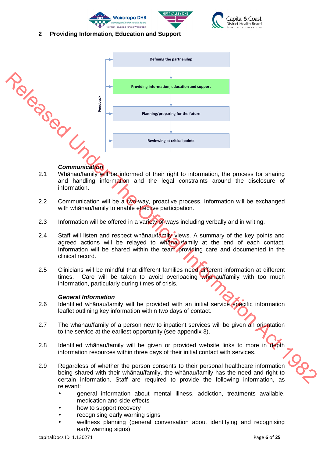





#### **2 Providing Information, Education and Support**



- 2.1 Whānau/family will be informed of their right to information, the process for sharing and handling information and the legal constraints around the disclosure of information.
- 2.2 Communication will be a two-way, proactive process. Information will be exchanged with whānau/family to enable effective participation.
- 2.3 Information will be offered in a variety of ways including verbally and in writing.
- 2.4 Staff will listen and respect whānau/family views. A summary of the key points and agreed actions will be relayed to whanau/family at the end of each contact. Information will be shared within the team providing care and documented in the clinical record.
- 2.5 Clinicians will be mindful that different families need different information at different times. Care will be taken to avoid overloading whanau/family with too much information, particularly during times of crisis.

#### **General Information**

- 2.6 Identified whānau/family will be provided with an initial service specific information leaflet outlining key information within two days of contact.
- 2.7 The whānau/family of a person new to inpatient services will be given an orientation to the service at the earliest opportunity (see appendix 3).
- 2.8 Identified whānau/family will be given or provided website links to more in depth information resources within three days of their initial contact with services.
- 2.9 Regardless of whether the person consents to their personal healthcare information being shared with their whānau/family, the whānau/family has the need and right to certain information. Staff are required to provide the following information, as relevant:
	- general information about mental illness, addiction, treatments available, medication and side effects
	- how to support recovery
	- recognising early warning signs
	- wellness planning (general conversation about identifying and recognising early warning signs)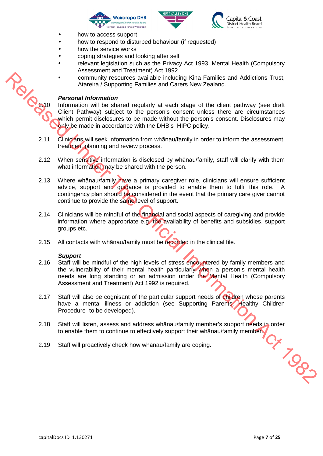



- how to access support
- how to respond to disturbed behaviour (if requested)
- how the service works
- coping strategies and looking after self
- relevant legislation such as the Privacy Act 1993, Mental Health (Compulsory Assessment and Treatment) Act 1992
- community resources available including Kina Families and Addictions Trust, Atareira / Supporting Families and Carers New Zealand.

#### **Personal Information**

2.10 Information will be shared regularly at each stage of the client pathway (see draft)<br>2.10 Information will be shared regularly at each stage of the client pathway (see draft)<br>2.10 Information will be shared regularly Client Pathway) subject to the person's consent unless there are circumstances which permit disclosures to be made without the person's consent. Disclosures may only be made in accordance with the DHB's HIPC policy.

- 2.11 Clinicians will seek information from whānau/family in order to inform the assessment, treatment planning and review process.
- 2.12 When sensitive information is disclosed by whānau/family, staff will clarify with them what information may be shared with the person.
- 2.13 Where whanau/family have a primary caregiver role, clinicians will ensure sufficient advice, support and guidance is provided to enable them to fulfil this role. A contingency plan should be considered in the event that the primary care giver cannot continue to provide the same level of support. Examentary resolutions a provide in education is a families and Addictions Trust,<br>
Revised Information and The Share of Care is the Care of the district pathway (see distribution)<br>
The Official Information with the Share o
	- 2.14 Clinicians will be mindful of the financial and social aspects of caregiving and provide information where appropriate e.g. the availability of benefits and subsidies, support groups etc.
	- 2.15 All contacts with whānau/family must be recorded in the clinical file.

#### **Support**

- 2.16 Staff will be mindful of the high levels of stress encountered by family members and the vulnerability of their mental health particularly when a person's mental health needs are long standing or an admission under the Mental Health (Compulsory Assessment and Treatment) Act 1992 is required.
- 2.17 Staff will also be cognisant of the particular support needs of children whose parents have a mental illness or addiction (see Supporting Parents, Healthy Children Procedure- to be developed).
- 2.18 Staff will listen, assess and address whānau/family member's support needs in order<br>to enable them to continue to effectively support their whānau/family members<br>2.19 Staff will proactively check how whānau/family are to enable them to continue to effectively support their whānau/family member.
- 2.19 Staff will proactively check how whānau/family are coping.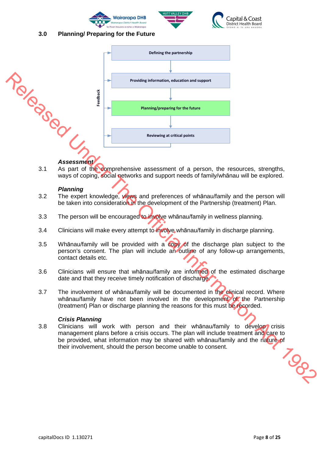





#### **3.0 Planning/ Preparing for the Future**



3.1 As part of the comprehensive assessment of a person, the resources, strengths, ways of coping, social networks and support needs of family/whānau will be explored.

#### **Planning**

- 3.2 The expert knowledge, views and preferences of whānau/family and the person will be taken into consideration in the development of the Partnership (treatment) Plan.
- 3.3 The person will be encouraged to involve whanau/family in wellness planning.
- 3.4 Clinicians will make every attempt to involve whānau/family in discharge planning.
- 3.5 Whānau/family will be provided with a copy of the discharge plan subject to the person's consent. The plan will include an outline of any follow-up arrangements, contact details etc.
- 3.6 Clinicians will ensure that whānau/family are informed of the estimated discharge date and that they receive timely notification of discharge.
- 3.7 The involvement of whānau/family will be documented in the clinical record. Where whānau/family have not been involved in the development of the Partnership (treatment) Plan or discharge planning the reasons for this must be recorded.

#### **Crisis Planning**

3.8 Clinicians will work with person and their whānau/family to develop crisis management plans before a crisis occurs. The plan will include treatment and care to be provided, what information may be shared with whānau/family and the nature of their involvement, should the person become unable to consent.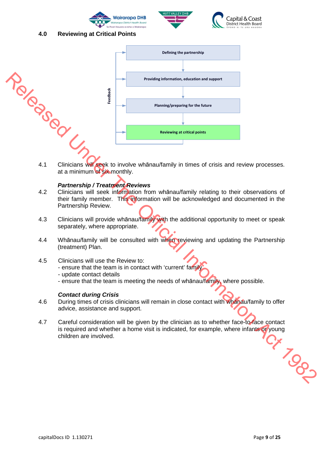





#### **4.0 Reviewing at Critical Points**



at a minimum of six monthly.

#### **Partnership / Treatment Reviews**

- 4.2 Clinicians will seek information from whānau/family relating to their observations of their family member. This information will be acknowledged and documented in the Partnership Review.
- 4.3 Clinicians will provide whānau/family with the additional opportunity to meet or speak separately, where appropriate.
- 4.4 Whānau/family will be consulted with when reviewing and updating the Partnership (treatment) Plan.
- 4.5 Clinicians will use the Review to:
	- ensure that the team is in contact with 'current' family
	- update contact details
	- ensure that the team is meeting the needs of whanau/family, where possible.

#### **Contact during Crisis**

- 4.6 During times of crisis clinicians will remain in close contact with whanau/family to offer advice, assistance and support.
- 4.7 Careful consideration will be given by the clinician as to whether face-to-face contact is required and whether a home visit is indicated, for example, where infants or young<br>children are involved. children are involved.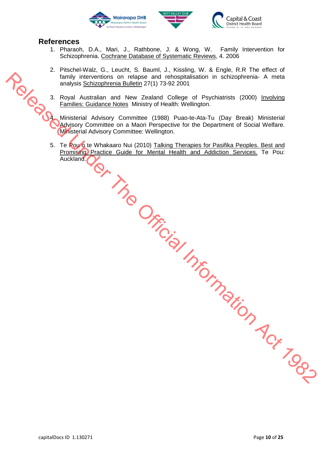



#### **References**

- 1. Pharaoh, D.A., Mari, J., Rathbone, J. & Wong, W. Family Intervention for Schizophrenia. Cochrane Database of Systematic Reviews, 4. 2006
- 2. Pitschel-Walz, G., Leucht, S. Bauml, J., Kissling, W. & Engle, R.R The effect of family interventions on relapse and rehospitalisation in schizophrenia- A meta analysis Schizophrenia Bulletin 27(1) 73-92 2001
- 3. Royal Australian and New Zealand College of Psychiatrists (2000) Involving Families: Guidance Notes Ministry of Health: Wellington.
	- 4. Ministerial Advisory Committee (1988) Puao-te-Ata-Tu (Day Break) Ministerial Advisory Committee on a Maori Perspective for the Department of Social Welfare. Ministerial Advisory Committee: Wellington.
- 5. Te Pou o te Whakaaro Nui (2010) Talking Therapies for Pasifika Peoples. Best and Promising Practice Guide for Mental Health and Addiction Services. Te Pou: Auckland. New Little City of the Official Information Act 1982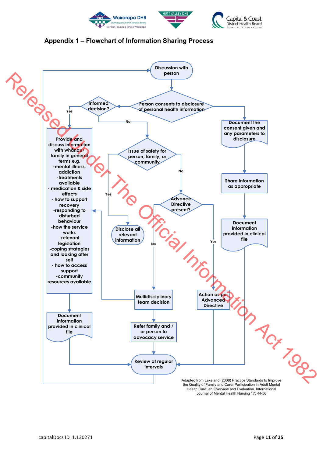



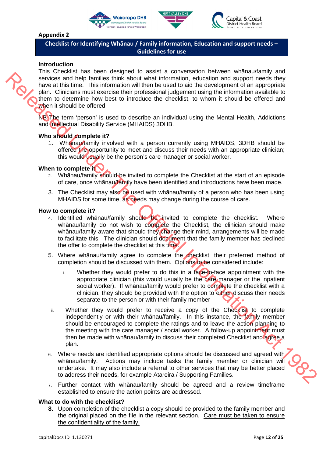





#### **Appendix 2**

**Checklist for Identifying Whānau / Family information, Education and support needs – Guidelines for use** 

#### **Introduction**

This Checklist has been designed to assist a conversation between whānau/family and services and help families think about what information, education and support needs they have at this time. This information will then be used to aid the development of an appropriate plan. Clinicians must exercise their professional judgement using the information available to them to determine how best to introduce the checklist, to whom it should be offered and when it should be offered.

NB The term 'person' is used to describe an individual using the Mental Health, Addictions and Intellectual Disability Service (MHAIDS) 3DHB.

#### **Who should complete it?**

1. Whānau/family involved with a person currently using MHAIDS, 3DHB should be offered the opportunity to meet and discuss their needs with an appropriate clinician; this would usually be the person's care manager or social worker.

#### **When to complete it**

- 2. Whānau/family should be invited to complete the Checklist at the start of an episode of care, once whānau/family have been identified and introductions have been made.
- 3. The Checklist may also be used with whanau/family of a person who has been using MHAIDS for some time, as needs may change during the course of care.

#### **How to complete it?**

- 4. Identified whānau/family should be invited to complete the checklist. Where whānau/family do not wish to complete the Checklist, the clinician should make whānau/family aware that should they change their mind, arrangements will be made to facilitate this. The clinician should document that the family member has declined the offer to complete the checklist at this time.
- 5. Where whānau/family agree to complete the checklist, their preferred method of completion should be discussed with them. Options to be considered include:
	- i. Whether they would prefer to do this in a face-to-face appointment with the appropriate clinician (this would usually be the care manager or the inpatient social worker). If whānau/family would prefer to complete the checklist with a clinician, they should be provided with the option to either discuss their needs separate to the person or with their family member
- ii. Whether they would prefer to receive a copy of the Checklist to complete independently or with their whānau/family. In this instance, the family member should be encouraged to complete the ratings and to leave the action planning to the meeting with the care manager / social worker. A follow-up appointment must then be made with whānau/family to discuss their completed Checklist and agree a plan. Release the frem the standard high matter when the momentum and support that is the observed to the observed the proportion and supported the official Information Act 1982 (b) a Chinal Information Act 1982 (b) the matter o
	- 6. Where needs are identified appropriate options should be discussed and agreed with whānau/family. Actions may include tasks the family member or clinician will undertake. It may also include a referral to other services that may be better placed to address their needs, for example Atareira / Supporting Families.
	- 7. Further contact with whānau/family should be agreed and a review timeframe established to ensure the action points are addressed.

#### **What to do with the checklist?**

**8.** Upon completion of the checklist a copy should be provided to the family member and the original placed on the file in the relevant section. Care must be taken to ensure the confidentiality of the family.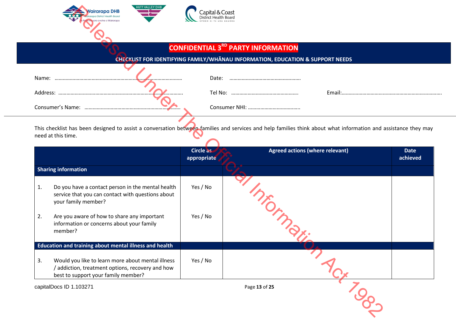

#### **CONFIDENTIAL 3RD PARTY INFORMATION**

#### **CHECKLIST FOR IDENTIFYING FAMILY/WHĀNAU INFORMATION, EDUCATION & SUPPORT NEEDS**

| Name:            | Date:   |       |
|------------------|---------|-------|
| Address:         | Tel No: | Email |
| Consumer's Name: |         |       |

|    | <b>HUTT VALLEY DHB</b><br>Vairarapa DHB                                                                                                                                              | Capital & Coast  |                                                                                |             |
|----|--------------------------------------------------------------------------------------------------------------------------------------------------------------------------------------|------------------|--------------------------------------------------------------------------------|-------------|
|    |                                                                                                                                                                                      |                  | <b>CONFIDENTIAL 3<sup>RD</sup> PARTY INFORMATION</b>                           |             |
|    |                                                                                                                                                                                      |                  | CHECKLIST FOR IDENTIFYING FAMILY/WHANAU INFORMATION, EDUCATION & SUPPORT NEEDS |             |
|    |                                                                                                                                                                                      |                  |                                                                                |             |
|    | Name:                                                                                                                                                                                | Date:            |                                                                                |             |
|    |                                                                                                                                                                                      |                  |                                                                                |             |
|    |                                                                                                                                                                                      |                  |                                                                                |             |
|    | This checklist has been designed to assist a conversation between families and services and help families think about what information and assistance they may<br>need at this time. | <b>Circle as</b> | <b>Agreed actions (where relevant)</b>                                         | <b>Date</b> |
|    |                                                                                                                                                                                      | appropriate      |                                                                                | achieved    |
|    | <b>Sharing information</b>                                                                                                                                                           |                  |                                                                                |             |
| 1. | Do you have a contact person in the mental health<br>service that you can contact with questions about<br>your family member?                                                        | Yes / No         |                                                                                |             |
| 2. | Are you aware of how to share any important<br>information or concerns about your family<br>member?                                                                                  | Yes / No         | I Michigan                                                                     |             |
|    | Education and training about mental illness and health                                                                                                                               |                  |                                                                                |             |
| 3. | Would you like to learn more about mental illness<br>/ addiction, treatment options, recovery and how<br>best to support your family member?                                         | Yes / No         |                                                                                |             |
|    | capitalDocs ID 1.103271                                                                                                                                                              |                  | Page 13 of 25                                                                  |             |
|    |                                                                                                                                                                                      |                  |                                                                                |             |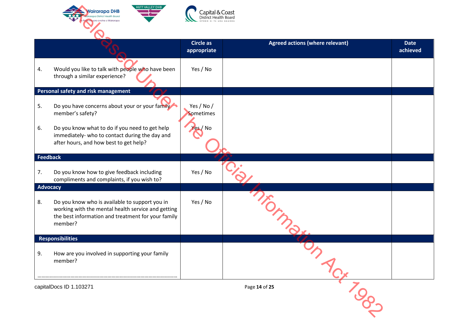

|    | <b>HUTT VALLEY DHB</b><br><b>Vairarapa DHB</b>                                                                                                                        | Capital & Coast<br>District Health Board |                                        |                         |
|----|-----------------------------------------------------------------------------------------------------------------------------------------------------------------------|------------------------------------------|----------------------------------------|-------------------------|
|    |                                                                                                                                                                       | <b>Circle as</b><br>appropriate          | <b>Agreed actions (where relevant)</b> | <b>Date</b><br>achieved |
| 4. | Would you like to talk with people who have been<br>through a similar experience?                                                                                     | Yes / No                                 |                                        |                         |
|    | Personal safety and risk management                                                                                                                                   |                                          |                                        |                         |
| 5. | Do you have concerns about your or your family<br>member's safety?                                                                                                    | Yes / No /<br>Sometimes                  |                                        |                         |
| 6. | Do you know what to do if you need to get help<br>immediately- who to contact during the day and<br>after hours, and how best to get help?                            | es / No                                  |                                        |                         |
|    | <b>Feedback</b>                                                                                                                                                       |                                          |                                        |                         |
| 7. | Do you know how to give feedback including<br>compliments and complaints, if you wish to?                                                                             | Yes / No                                 |                                        |                         |
|    | <b>Advocacy</b>                                                                                                                                                       |                                          |                                        |                         |
| 8. | Do you know who is available to support you in<br>working with the mental health service and getting<br>the best information and treatment for your family<br>member? | Yes / No                                 |                                        |                         |
|    | <b>Responsibilities</b>                                                                                                                                               |                                          |                                        |                         |
| 9. | How are you involved in supporting your family<br>member?                                                                                                             |                                          |                                        |                         |
|    | capitalDocs ID 1.103271                                                                                                                                               |                                          | Page 14 of 25                          |                         |
|    |                                                                                                                                                                       |                                          |                                        |                         |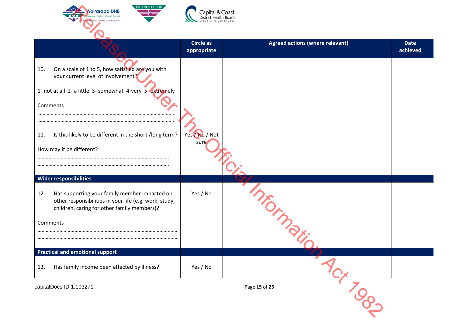

| <b>HUTT VALLEY DHB</b><br>airarapa DHB                                                                                                                                                                                                                                                               | `apital & Coast                 |                                        |                         |
|------------------------------------------------------------------------------------------------------------------------------------------------------------------------------------------------------------------------------------------------------------------------------------------------------|---------------------------------|----------------------------------------|-------------------------|
|                                                                                                                                                                                                                                                                                                      | <b>Circle as</b><br>appropriate | <b>Agreed actions (where relevant)</b> | <b>Date</b><br>achieved |
| On a scale of 1 to 5, how satisfied are you with<br>10.<br>your current level of involvement?<br>1- not at all 2- a little 3- somewhat 4-very 5-extremely<br>Comments<br>Is this likely to be different in the short /long term?<br>11.<br>How may it be different?<br><b>Wider responsibilities</b> | Yes No / Not<br>sure            |                                        |                         |
| Has supporting your family member impacted on<br>12.<br>other responsibilities in your life (e.g. work, study,<br>children, caring for other family members)?<br>Comments                                                                                                                            | Yes / No                        |                                        |                         |
| <b>Practical and emotional support</b>                                                                                                                                                                                                                                                               |                                 |                                        |                         |
| Has family income been affected by illness?<br>13.                                                                                                                                                                                                                                                   | Yes / No                        |                                        |                         |
| capitalDocs ID 1.103271                                                                                                                                                                                                                                                                              |                                 | Page 15 of 25<br>80-                   |                         |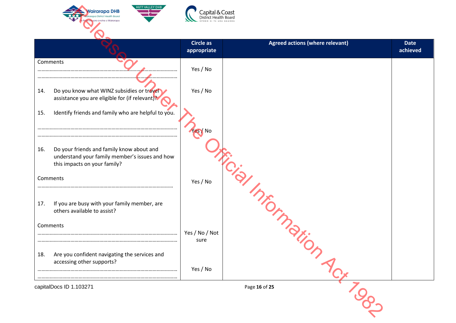

|     |                                                                                                                             | Circle as<br>appropriate | <b>Agreed actions (where relevant)</b> | <b>Date</b><br>achieved |
|-----|-----------------------------------------------------------------------------------------------------------------------------|--------------------------|----------------------------------------|-------------------------|
|     | Comments                                                                                                                    | Yes / No                 |                                        |                         |
| 14. | Do you know what WINZ subsidies or travel<br>assistance you are eligible for (if relevant)?                                 | Yes / No                 |                                        |                         |
| 15. | Identify friends and family who are helpful to you.                                                                         |                          |                                        |                         |
|     |                                                                                                                             | es / No                  |                                        |                         |
| 16. | Do your friends and family know about and<br>understand your family member's issues and how<br>this impacts on your family? |                          |                                        |                         |
|     | Comments                                                                                                                    | Yes / No                 |                                        |                         |
| 17. | If you are busy with your family member, are<br>others available to assist?                                                 |                          | Jia Informati                          |                         |
|     | Comments                                                                                                                    | Yes / No / Not           |                                        |                         |
| 18. | Are you confident navigating the services and<br>accessing other supports?                                                  | sure                     |                                        |                         |
|     |                                                                                                                             | Yes / No                 |                                        |                         |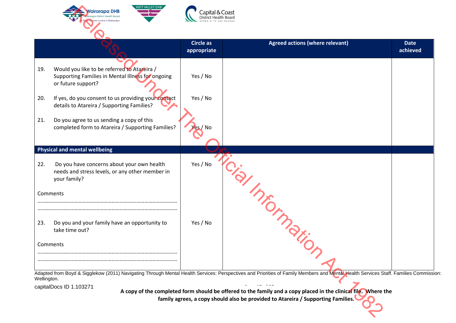

|          |                                                                                                                        | <b>Circle as</b><br>appropriate | <b>Agreed actions (where relevant)</b>                                                                                                                                              | <b>Date</b><br>achieved |
|----------|------------------------------------------------------------------------------------------------------------------------|---------------------------------|-------------------------------------------------------------------------------------------------------------------------------------------------------------------------------------|-------------------------|
| 19.      | Would you like to be referred to Atareira /<br>Supporting Families in Mental Illness for ongoing<br>or future support? | Yes / No                        |                                                                                                                                                                                     |                         |
| 20.      | If yes, do you consent to us providing your contact<br>details to Atareira / Supporting Families?                      | Yes / No                        |                                                                                                                                                                                     |                         |
| 21.      | Do you agree to us sending a copy of this<br>completed form to Atareira / Supporting Families?                         |                                 |                                                                                                                                                                                     |                         |
|          | <b>Physical and mental wellbeing</b>                                                                                   |                                 |                                                                                                                                                                                     |                         |
| 22.      | Do you have concerns about your own health<br>needs and stress levels, or any other member in<br>your family?          | Yes / No                        |                                                                                                                                                                                     |                         |
| Comments |                                                                                                                        |                                 |                                                                                                                                                                                     |                         |
| 23.      | Do you and your family have an opportunity to<br>take time out?                                                        | Yes / No                        | 19/ Important                                                                                                                                                                       |                         |
| Comments |                                                                                                                        |                                 |                                                                                                                                                                                     |                         |
|          |                                                                                                                        |                                 | Adapted from Boyd & Sigglekow (2011) Navigating Through Mental Health Services: Perspectives and Priorities of Family Members and Mental Health Services Staff. Families Commission |                         |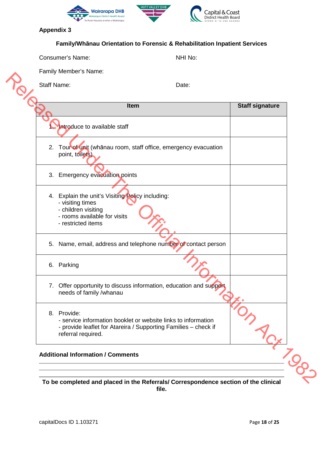

**Appendix 3** 

|  |  | <b>Family/Whanau Orientation to Forensic &amp; Rehabilitation Inpatient Services</b> |
|--|--|--------------------------------------------------------------------------------------|
|  |  |                                                                                      |

| Consumer's Name: |  |
|------------------|--|
|                  |  |

NHI No:

|    | Item                                                                                                                                                                  | <b>Staff signature</b> |
|----|-----------------------------------------------------------------------------------------------------------------------------------------------------------------------|------------------------|
|    | Introduce to available staff                                                                                                                                          |                        |
| 2. | Tour of unit (whānau room, staff office, emergency evacuation<br>point, toilets)                                                                                      |                        |
| 3. | <b>Emergency evacuation points</b>                                                                                                                                    |                        |
|    | 4. Explain the unit's Visiting Policy including:<br>- visiting times<br>- children visiting<br>- rooms available for visits<br>- restricted items                     |                        |
| 5. | Name, email, address and telephone number of contact person                                                                                                           |                        |
|    | 6. Parking                                                                                                                                                            |                        |
| 7. | Offer opportunity to discuss information, education and support<br>needs of family /whanau                                                                            |                        |
|    | 8. Provide:<br>- service information booklet or website links to information<br>- provide leaflet for Atareira / Supporting Families - check if<br>referral required. |                        |

**To be completed and placed in the Referrals/ Correspondence section of the clinical file.**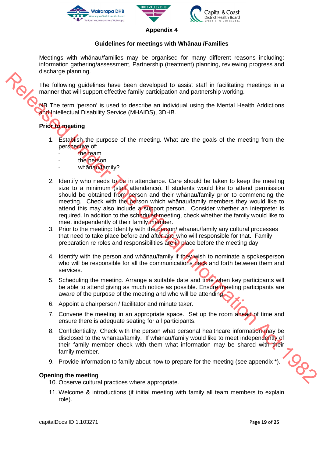





**Appendix 4** 

#### **Guidelines for meetings with Whānau /Families**

Meetings with whānau/families may be organised for many different reasons including: information gathering/assessment, Partnership (treatment) planning, reviewing progress and discharge planning.

The following guidelines have been developed to assist staff in facilitating meetings in a manner that will support effective family participation and partnership working.

NB The term 'person' is used to describe an individual using the Mental Health Addictions and Intellectual Disability Service (MHAIDS), 3DHB.

## **Prior to meeting**

- 1. Establish the purpose of the meeting. What are the goals of the meeting from the perspective of:
	- the team
	- the person
	- whānau/family?
- 2. Identify who needs to be in attendance. Care should be taken to keep the meeting size to a minimum (staff attendance). If students would like to attend permission should be obtained from person and their whanau/family prior to commencing the meeting. Check with the person which whānau/family members they would like to attend this may also include a support person. Consider whether an interpreter is required. In addition to the scheduled meeting, check whether the family would like to meet independently of their family member. The following rules that the methods of the methods of the methods of the methods of the methods of the methods of the methods of the methods of the methods of the methods of the methods of the methods of the methods of th
	- 3. Prior to the meeting: Identify with the person/ whanau/family any cultural processes that need to take place before and after and who will responsible for that. Family preparation re roles and responsibilities are in place before the meeting day.
	- 4. Identify with the person and whānau/family if they wish to nominate a spokesperson who will be responsible for all the communications back and forth between them and services.
	- 5. Scheduling the meeting. Arrange a suitable date and time when key participants will be able to attend giving as much notice as possible. Ensure meeting participants are aware of the purpose of the meeting and who will be attending.
	- 6. Appoint a chairperson / facilitator and minute taker.
	- 7. Convene the meeting in an appropriate space. Set up the room ahead of time and ensure there is adequate seating for all participants.
	- 8. Confidentiality. Check with the person what personal healthcare information may be disclosed to the whānau/family. If whānau/family would like to meet independently of their family member check with them what information may be shared with their family member.
	- 9. Provide information to family about how to prepare for the meeting (see appendix \*).

#### **Opening the meeting**

- 10. Observe cultural practices where appropriate.
- 11. Welcome & introductions (if initial meeting with family all team members to explain role).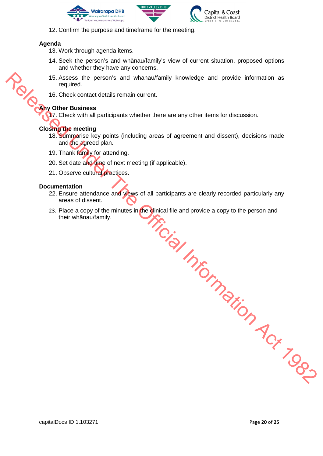





12. Confirm the purpose and timeframe for the meeting.

#### **Agenda**

- 13. Work through agenda items.
- 14. Seek the person's and whānau/family's view of current situation, proposed options and whether they have any concerns.
- 15. Assess the person's and whanau/family knowledge and provide information as required.
- 16. Check contact details remain current.

#### **Any Other Business**

17. Check with all participants whether there are any other items for discussion.

#### **Closing the meeting**

- 18. Summarise key points (including areas of agreement and dissent), decisions made and the agreed plan.
- 19. Thank family for attending.
- 20. Set date and time of next meeting (if applicable).
- 21. Observe cultural practices.

#### **Documentation**

- 22. Ensure attendance and views of all participants are clearly recorded particularly any areas of dissent.
- 23. Place a copy of the minutes in the clinical file and provide a copy to the person and their whānau/family. Fried Unicol Under Tropic Act 1982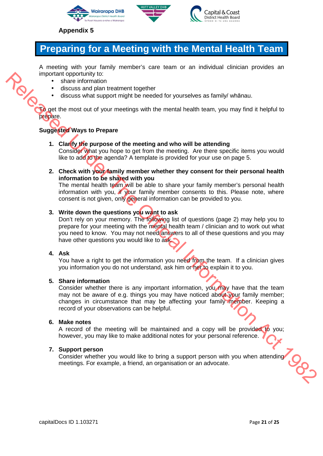





#### **Appendix 5**

## **Preparing for a Meeting with the Mental Health Team**

A meeting with your family member's care team or an individual clinician provides an important opportunity to:

- share information
- discuss and plan treatment together
- discuss what support might be needed for yourselves as family/ whānau.

To get the most out of your meetings with the mental health team, you may find it helpful to prepare.

#### **Suggested Ways to Prepare**

- **1. Clarify the purpose of the meeting and who will be attending**  Consider what you hope to get from the meeting. Are there specific items you would like to add to the agenda? A template is provided for your use on page 5.
- **2. Check with your family member whether they consent for their personal health information to be shared with you**

The mental health team will be able to share your family member's personal health information with you, if your family member consents to this. Please note, where consent is not given, only general information can be provided to you.

#### **3. Write down the questions you want to ask**

Don't rely on your memory. The following list of questions (page 2) may help you to prepare for your meeting with the mental health team / clinician and to work out what you need to know. You may not need answers to all of these questions and you may have other questions you would like to ask. The student is the method with the method is the properties.<br>
The most cut of your method is the control of your selves as family whan automobility<br>
of the most cut of your meetings with the metal health team, you may find

#### **4. Ask**

You have a right to get the information you need from the team. If a clinician gives you information you do not understand, ask him or her to explain it to you.

#### **5. Share information**

Consider whether there is any important information, you may have that the team may not be aware of e.g. things you may have noticed about your family member; changes in circumstance that may be affecting your family member. Keeping a record of your observations can be helpful.

#### **6. Make notes**

A record of the meeting will be maintained and a copy will be provided to you: however, you may like to make additional notes for your personal reference.

#### **7. Support person**

Support person<br>Consider whether you would like to bring a support person with you when attending<br>montings. For example, a friend, an organisation or an advocate. meetings. For example, a friend, an organisation or an advocate.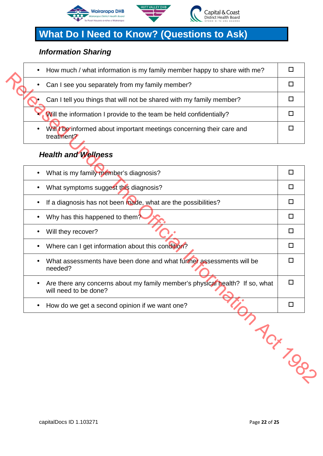



## **What Do I Need to Know? (Questions to Ask)**

## **Information Sharing**

| How much / what information is my family member happy to share with me?<br>$\bullet$           |  |
|------------------------------------------------------------------------------------------------|--|
| Can I see you separately from my family member?<br>$\bullet$                                   |  |
| Can I tell you things that will not be shared with my family member?                           |  |
| Will the information I provide to the team be held confidentially?                             |  |
| Will be informed about important meetings concerning their care and<br>$\bullet$<br>treatment? |  |

## **Health and Wellness**

| Can I see you separately from my family member?                                                                    | □      |
|--------------------------------------------------------------------------------------------------------------------|--------|
| Can I tell you things that will not be shared with my family member?                                               | □      |
| Will the information I provide to the team be held confidentially?                                                 | $\Box$ |
| Will <i>I</i> be informed about important meetings concerning their care and<br>treatment?                         | ◻      |
| <b>Health and Wellness</b>                                                                                         |        |
| What is my family member's diagnosis?                                                                              | $\Box$ |
| What symptoms suggest this diagnosis?<br>$\bullet$                                                                 | □      |
| If a diagnosis has not been made, what are the possibilities?<br>$\bullet$                                         | $\Box$ |
| Why has this happened to them?<br>$\bullet$                                                                        | $\Box$ |
| Will they recover?                                                                                                 | $\Box$ |
| Where can I get information about this condition?<br>$\bullet$                                                     | □      |
| What assessments have been done and what further assessments will be<br>needed?                                    | $\Box$ |
| Are there any concerns about my family member's physical health? If so, what<br>$\bullet$<br>will need to be done? | □      |
| How do we get a second opinion if we want one?<br>$\bullet$                                                        | □      |
| Max Jogs                                                                                                           |        |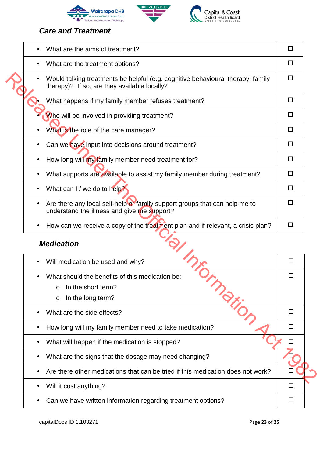



Capital & Coast<br>District Health Board

## **Care and Treatment**

| What are the aims of treatment?                                                                                                                            | □      |
|------------------------------------------------------------------------------------------------------------------------------------------------------------|--------|
| What are the treatment options?                                                                                                                            | □      |
| Would talking treatments be helpful (e.g. cognitive behavioural therapy, family<br>therapy)? If so, are they available locally?                            | $\Box$ |
| What happens if my family member refuses treatment?                                                                                                        | $\Box$ |
| Who will be involved in providing treatment?                                                                                                               | $\Box$ |
| What is the role of the care manager?                                                                                                                      | $\Box$ |
| Can we have input into decisions around treatment?<br>$\bullet$                                                                                            | $\Box$ |
| How long will my family member need treatment for?<br>$\bullet$                                                                                            | $\Box$ |
| What supports are available to assist my family member during treatment?<br>$\bullet$                                                                      | $\Box$ |
| What can I / we do to help?                                                                                                                                | $\Box$ |
| Are there any local self-help or family support groups that can help me to<br>$\bullet$<br>understand the illness and give me support?                     | □      |
| How can we receive a copy of the treatment plan and if relevant, a crisis plan?<br>$\bullet$                                                               | $\Box$ |
| <b>Medication</b>                                                                                                                                          |        |
| Will medication be used and why?<br>$\bullet$                                                                                                              | □      |
| What should the benefits of this medication be:<br>In the short term?<br>O<br>$\gamma_{\!\scriptscriptstyle \diamondsuit_{\!Z}}$<br>In the long term?<br>O | П      |
| What are the side effects?                                                                                                                                 | □      |
| How long will my family member need to take medication?                                                                                                    | □      |
| What will happen if the medication is stopped?                                                                                                             | $\Box$ |
| What are the signs that the dosage may need changing?                                                                                                      |        |
| Are there other medications that can be tried if this medication does not work?                                                                            |        |
|                                                                                                                                                            |        |

## **Medication**

| Will medication be used and why?<br>$\bullet$                                   | H |  |
|---------------------------------------------------------------------------------|---|--|
| What should the benefits of this medication be:<br>$\bullet$                    |   |  |
| In the short term?<br>$\Omega$                                                  |   |  |
| In the long term?<br>$\circ$                                                    |   |  |
| What are the side effects?                                                      | П |  |
| How long will my family member need to take medication?<br>$\bullet$            | П |  |
| What will happen if the medication is stopped?<br>$\bullet$                     | П |  |
| What are the signs that the dosage may need changing?                           |   |  |
| Are there other medications that can be tried if this medication does not work? |   |  |
| Will it cost anything?<br>$\bullet$                                             | Ш |  |
| Can we have written information regarding treatment options?<br>$\bullet$       |   |  |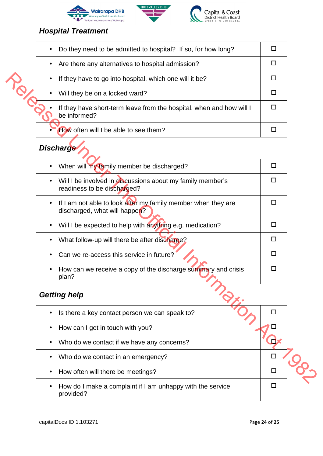





## **Hospital Treatment**

| Do they need to be admitted to hospital? If so, for how long?<br>$\bullet$           |  |
|--------------------------------------------------------------------------------------|--|
| Are there any alternatives to hospital admission?<br>$\bullet$                       |  |
| If they have to go into hospital, which one will it be?<br>$\bullet$                 |  |
| Will they be on a locked ward?<br>$\bullet$                                          |  |
| If they have short-term leave from the hospital, when and how will I<br>be informed? |  |
| How often will I be able to see them?                                                |  |

## **Discharge**

|           | If they have to go into hospital, which one will it be?                                        | □              |  |
|-----------|------------------------------------------------------------------------------------------------|----------------|--|
|           | Will they be on a locked ward?                                                                 | □              |  |
|           | If they have short-term leave from the hospital, when and how will I<br>be informed?           | $\Box$         |  |
|           | How often will I be able to see them?                                                          | □              |  |
|           | <b>Discharge</b>                                                                               |                |  |
|           | When will my family member be discharged?                                                      | $\Box$         |  |
|           | Will I be involved in discussions about my family member's<br>readiness to be discharged?      | □              |  |
| $\bullet$ | If I am not able to look after my family member when they are<br>discharged, what will happen? | □              |  |
|           | Will I be expected to help with anything e.g. medication?                                      | $\Box$         |  |
| $\bullet$ | What follow-up will there be after discharge?                                                  | □              |  |
|           | Can we re-access this service in future?                                                       | $\Box$         |  |
|           | How can we receive a copy of the discharge summary and crisis<br>plan?                         | $\Box$         |  |
|           | $\hat{Q}_{\cancel{Z}}$<br><b>Getting help</b>                                                  |                |  |
|           | Is there a key contact person we can speak to?                                                 | □              |  |
|           | How can I get in touch with you?                                                               | □              |  |
|           | Who do we contact if we have any concerns?                                                     | $\overline{u}$ |  |
|           | Who do we contact in an emergency?                                                             | $\Box$         |  |
|           | How often will there be meetings?                                                              | $\Box$         |  |
|           |                                                                                                |                |  |

## **Getting help**

| Is there a key contact person we can speak to?<br>$\bullet$             |  |
|-------------------------------------------------------------------------|--|
| How can I get in touch with you?                                        |  |
| Who do we contact if we have any concerns?<br>$\bullet$                 |  |
| Who do we contact in an emergency?                                      |  |
| How often will there be meetings?                                       |  |
| How do I make a complaint if I am unhappy with the service<br>provided? |  |